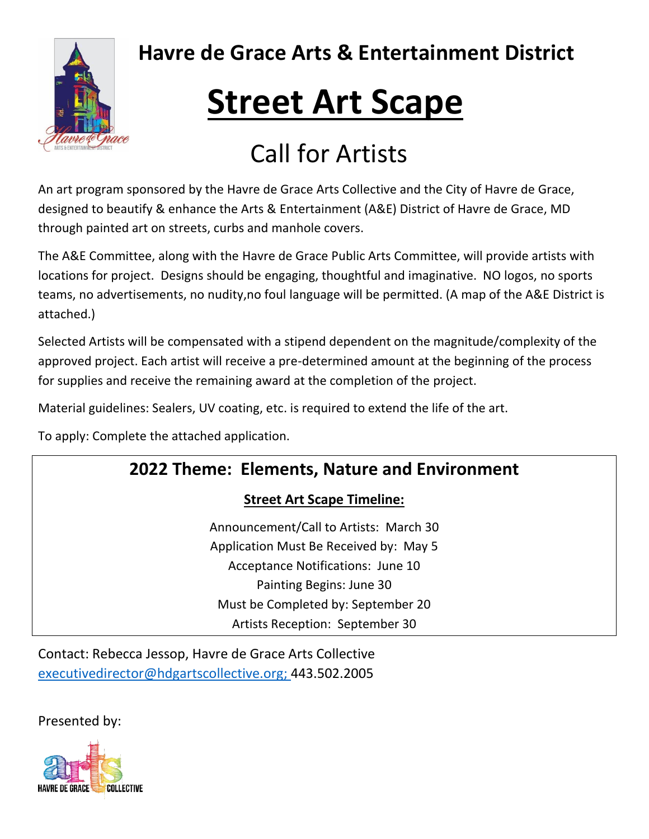

# **Street Art Scape**

## Call for Artists

An art program sponsored by the Havre de Grace Arts Collective and the City of Havre de Grace, designed to beautify & enhance the Arts & Entertainment (A&E) District of Havre de Grace, MD through painted art on streets, curbs and manhole covers.

The A&E Committee, along with the Havre de Grace Public Arts Committee, will provide artists with locations for project. Designs should be engaging, thoughtful and imaginative. NO logos, no sports teams, no advertisements, no nudity,no foul language will be permitted. (A map of the A&E District is attached.)

Selected Artists will be compensated with a stipend dependent on the magnitude/complexity of the approved project. Each artist will receive a pre-determined amount at the beginning of the process for supplies and receive the remaining award at the completion of the project.

Material guidelines: Sealers, UV coating, etc. is required to extend the life of the art.

To apply: Complete the attached application.

### **2022 Theme: Elements, Nature and Environment**

#### **Street Art Scape Timeline:**

Announcement/Call to Artists: March 30 Application Must Be Received by: May 5 Acceptance Notifications: June 10 Painting Begins: June 30 Must be Completed by: September 20 Artists Reception: September 30

Contact: Rebecca Jessop, Havre de Grace Arts Collective [executivedirector@hdgartscollective.org;](mailto:executivedirector@hdgartscollective.org) 443.502.2005

Presented by: